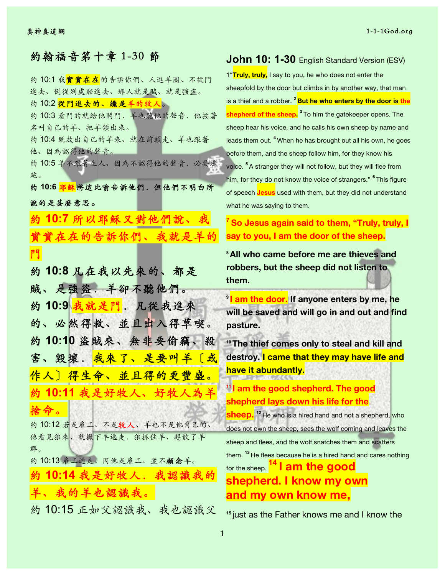| 約翰福音第十章 1-30 節                                 |
|------------------------------------------------|
| 約 10:1 我 <mark>實實在在</mark> 的告訴你們、人進羊圈、不從門      |
| 進去、倒從別處爬進去、那人就是賊、就是強盜。                         |
| 約 10:2 <mark>從門進去的、纔是羊的牧人</mark> 。             |
| 約10:3 看門的就給他開門. 羊也聽他的聲音. 他按著                   |
| 名叫自己的羊、把羊領出來。                                  |
| 約10:4 既放出自己的羊來、就在前頭走、羊也跟著                      |
| 他、因為認得他的聲音。                                    |
| 約10:5 羊不跟著生人、因為不認得他的聲音. 必要逃                    |
| 跑。<br>約 10:6 <mark>耶穌</mark> 將這比喻告訴他們. 但他們不明白所 |
| 說的是甚麼意思。                                       |
| 約10:7 所以耶穌又對他們說、我                              |
| 實實在在的告訴你們、我就是羊的                                |
| 門                                              |
| 約10:8 凡在我以先來的、都是                               |
| 賊、是強盜.羊卻不聽他們。                                  |
| 約10:9 <mark>我就是門</mark> . 凡從我進來                |
| 的、必然得救、並且出入得草喫。                                |
| 約 10:10 盜賊來、無非要偷竊、殺                            |
| 害、毀壞.我來了、是要叫羊〔或                                |
|                                                |
| 作人〕得生命、並且得的更豐盛。                                |
| 約 10:11 我是好牧人、好牧人為羊                            |
| 捨命。                                            |
| 約10:12若是雇工、不是牧人、羊也不是他自己的、                      |
| 他看見狼來、就撇下羊逃走. 狼抓住羊、趕散了羊                        |
| 群。                                             |
| 約10:13 雇工逃走、因他是雇工、並不顧念羊。                       |
| 約 10:14 我是好牧人. 我認識我的                           |
| 羊、我的羊也認識我。                                     |
| 約10:15 正如父認識我、我也認識父                            |

## **John 10: 1-30** English Standard Version (ESV)

1"**Truly, truly,** I say to you, he who does not enter the sheepfold by the door but climbs in by another way, that man is a thief and a robber. **<sup>2</sup> But he who enters by the door is the shepherd of the sheep. <sup>3</sup>** To him the gatekeeper opens. The sheep hear his voice, and he calls his own sheep by name and leads them out. **<sup>4</sup>** When he has brought out all his own, he goes before them, and the sheep follow him, for they know his voice. **<sup>5</sup>** A stranger they will not follow, but they will flee from him, for they do not know the voice of strangers." **<sup>6</sup>** This figure of speech **Jesus** used with them, but they did not understand what he was saying to them.

**<sup>7</sup> So Jesus again said to them, "Truly, truly, I say to you, I am the door of the sheep.**

**<sup>8</sup>All who came before me are thieves and robbers, but the sheep did not listen to them.**

**<sup>9</sup> I am the door. If anyone enters by me, he will be saved and will go in and out and find pasture.**

**<sup>10</sup>The thief comes only to steal and kill and destroy. I came that they may have life and have it abundantly.**

**<sup>11</sup> I am the good shepherd. The good shepherd lays down his life for the** 

**sheep. <sup>12</sup>** He who is a hired hand and not a shepherd, who does not own the sheep, sees the wolf coming and leaves the sheep and flees, and the wolf snatches them and scatters them. **<sup>13</sup>** He flees because he is a hired hand and cares nothing for the sheep. **<sup>14</sup> I am the good shepherd. I know my own and my own know me,**

**<sup>15</sup>** just as the Father knows me and I know the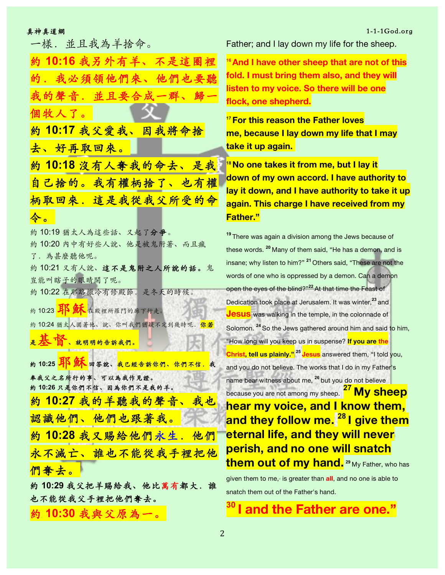一樣. 並且我為羊捨命。

約 **10:16** 我另外有⽺、不是這圈裡 的. 我必須領他們來、他們也 的聲音. 並且要合成一群、歸 個牧人了。 約 **10:17** 我⽗愛我、因我將命捨 去、好再取回來。 約 **10:18** 沒有⼈奪我的命去、是我 自己捨的。我有權柄捨了、也有權 柄取回來. 這是我從我父所受的命 令。 約 10:19 猶太⼈為這些話、又起了分爭。 約 10:20 內中有好些人說、他是被鬼附著、而且瘋 了.為甚麼聽他呢。 約10:21 又有人說、這不是鬼附之人所說的話。鬼 豈能叫瞎子的眼睛開了呢。 約 10:22 在耶路撒冷有修殿節. 是冬天的時候。 約 10:23 片 紙本 在殿裡所羅門的廊下行走。 約 10:24 猶太人圍著他、說、你叫我們猶疑不定到幾時呢. 你若 是本省、就明明的告訴我們。 <mark>約 10:25 耳 源 回答說、我已經告訴你們、你們不信. 我</mark> 奉我父之名所行的事、可以為我作見證。 **約 10:26 只是你們不信、因為你們不是我的羊。** 約 **10:27** 我的⽺聽我的聲音、我也 認識他們、他們也跟著我。 約 **10:28** 我又賜給他們永⽣.他們 永不滅亡、誰也不能從我手裡把他 們奪去。 約 10:29 我父把羊賜給我、他比萬有都大. 誰 也不能從我父手裡把他們奪去。 約 **10:30** 我與⽗原為⼀。

Father; and I lay down my life for the sheep.

**<sup>16</sup>And I have other sheep that are not of this fold. I must bring them also, and they will listen to my voice. So there will be one flock, one shepherd.**

**<sup>17</sup>For this reason the Father loves me, because I lay down my life that I may take it up again.**

**<sup>18</sup>No one takes it from me, but I lay it down of my own accord. I have authority to lay it down, and I have authority to take it up again. This charge I have received from my Father."**

**<sup>19</sup>** There was again a division among the Jews because of these words. **<sup>20</sup>** Many of them said, "He has a demon, and is insane; why listen to him?" **<sup>21</sup>** Others said, "These are not the words of one who is oppressed by a demon. Can a demon open the eyes of the blind?"**<sup>22</sup>** At that time the Feast of Dedication took place at Jerusalem. It was winter,**<sup>23</sup>** and **Jesus** was walking in the temple, in the colonnade of Solomon. **<sup>24</sup>** So the Jews gathered around him and said to him, "How long will you keep us in suspense? **If you are the Christ, tell us plainly." <sup>25</sup> Jesus** answered them, "I told you, and you do not believe. The works that I do in my Father's name bear witness about me, **<sup>26</sup>** but you do not believe because you are not among my sheep. **<sup>27</sup> My sheep hear my voice, and I know them, and they follow me. <sup>28</sup> I give them eternal life, and they will never perish, and no one will snatch them out of my hand. <sup>29</sup>** My Father, who has given them to me, is greater than all, and no one is able to snatch them out of the Father's hand.

**<sup>30</sup> I and the Father are one."**